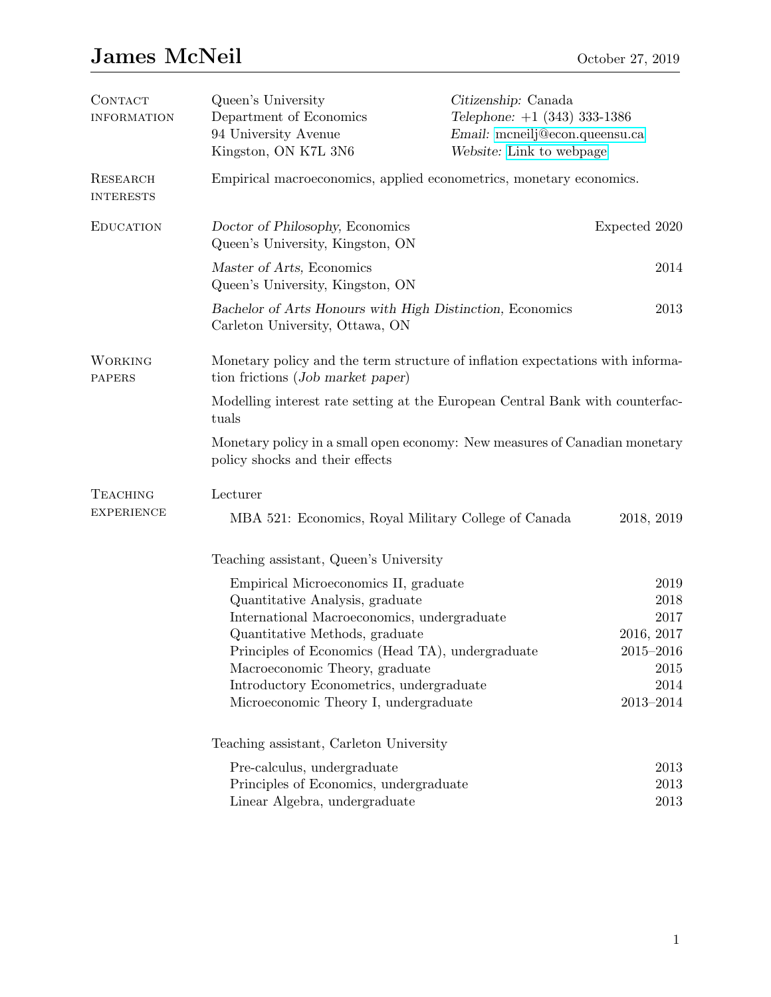## James McNeil October 27, 2019

| <b>CONTACT</b><br><b>INFORMATION</b> | Queen's University<br>Department of Economics<br>94 University Avenue<br>Kingston, ON K7L 3N6                       | Citizenship: Canada<br>Telephone: $+1$ (343) 333-1386<br>Email: mcneilj@econ.queensu.ca<br>Website: Link to webpage |                             |  |  |
|--------------------------------------|---------------------------------------------------------------------------------------------------------------------|---------------------------------------------------------------------------------------------------------------------|-----------------------------|--|--|
| RESEARCH<br><b>INTERESTS</b>         | Empirical macroeconomics, applied econometrics, monetary economics.                                                 |                                                                                                                     |                             |  |  |
| <b>EDUCATION</b>                     | Doctor of Philosophy, Economics<br>Queen's University, Kingston, ON                                                 |                                                                                                                     | Expected 2020               |  |  |
|                                      | Master of Arts, Economics<br>Queen's University, Kingston, ON                                                       |                                                                                                                     | 2014                        |  |  |
|                                      | Bachelor of Arts Honours with High Distinction, Economics<br>2013<br>Carleton University, Ottawa, ON                |                                                                                                                     |                             |  |  |
| <b>WORKING</b><br><b>PAPERS</b>      | Monetary policy and the term structure of inflation expectations with informa-<br>tion frictions (Job market paper) |                                                                                                                     |                             |  |  |
|                                      | Modelling interest rate setting at the European Central Bank with counterfac-<br>tuals                              |                                                                                                                     |                             |  |  |
|                                      | Monetary policy in a small open economy: New measures of Canadian monetary<br>policy shocks and their effects       |                                                                                                                     |                             |  |  |
| <b>TEACHING</b><br><b>EXPERIENCE</b> | Lecturer                                                                                                            |                                                                                                                     |                             |  |  |
|                                      | MBA 521: Economics, Royal Military College of Canada                                                                |                                                                                                                     | 2018, 2019                  |  |  |
|                                      | Teaching assistant, Queen's University                                                                              |                                                                                                                     |                             |  |  |
|                                      | Empirical Microeconomics II, graduate                                                                               |                                                                                                                     | 2019                        |  |  |
|                                      | Quantitative Analysis, graduate                                                                                     |                                                                                                                     | 2018                        |  |  |
|                                      | International Macroeconomics, undergraduate                                                                         |                                                                                                                     | 2017                        |  |  |
|                                      | Quantitative Methods, graduate<br>Principles of Economics (Head TA), undergraduate                                  |                                                                                                                     | 2016, 2017<br>$2015 - 2016$ |  |  |
|                                      | Macroeconomic Theory, graduate                                                                                      |                                                                                                                     | 2015                        |  |  |
|                                      | Introductory Econometrics, undergraduate                                                                            |                                                                                                                     | 2014                        |  |  |
|                                      | Microeconomic Theory I, undergraduate                                                                               |                                                                                                                     | $2013 - 2014$               |  |  |
|                                      | Teaching assistant, Carleton University                                                                             |                                                                                                                     |                             |  |  |
|                                      | Pre-calculus, undergraduate                                                                                         |                                                                                                                     | 2013                        |  |  |
|                                      | Principles of Economics, undergraduate                                                                              |                                                                                                                     | 2013                        |  |  |
|                                      | Linear Algebra, undergraduate                                                                                       |                                                                                                                     | 2013                        |  |  |